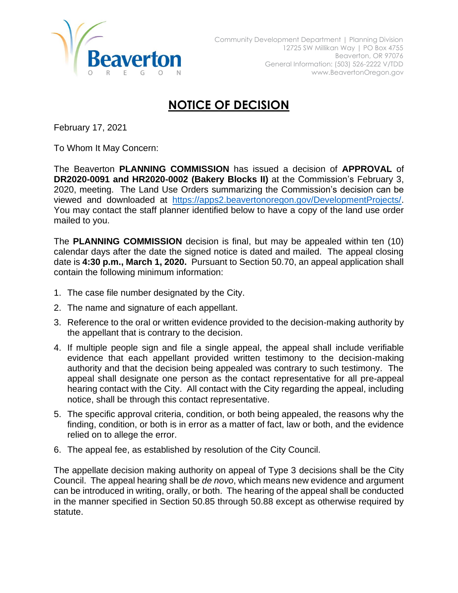

## **NOTICE OF DECISION**

February 17, 2021

To Whom It May Concern:

The Beaverton **PLANNING COMMISSION** has issued a decision of **APPROVAL** of **DR2020-0091 and HR2020-0002 (Bakery Blocks II)** at the Commission's February 3, 2020, meeting. The Land Use Orders summarizing the Commission's decision can be viewed and downloaded at [https://apps2.beavertonoregon.gov/DevelopmentProjects/.](https://apps2.beavertonoregon.gov/DevelopmentProjects/) You may contact the staff planner identified below to have a copy of the land use order mailed to you.

The **PLANNING COMMISSION** decision is final, but may be appealed within ten (10) calendar days after the date the signed notice is dated and mailed. The appeal closing date is **4:30 p.m., March 1, 2020.** Pursuant to Section 50.70, an appeal application shall contain the following minimum information:

- 1. The case file number designated by the City.
- 2. The name and signature of each appellant.
- 3. Reference to the oral or written evidence provided to the decision-making authority by the appellant that is contrary to the decision.
- 4. If multiple people sign and file a single appeal, the appeal shall include verifiable evidence that each appellant provided written testimony to the decision-making authority and that the decision being appealed was contrary to such testimony. The appeal shall designate one person as the contact representative for all pre-appeal hearing contact with the City. All contact with the City regarding the appeal, including notice, shall be through this contact representative.
- 5. The specific approval criteria, condition, or both being appealed, the reasons why the finding, condition, or both is in error as a matter of fact, law or both, and the evidence relied on to allege the error.
- 6. The appeal fee, as established by resolution of the City Council.

The appellate decision making authority on appeal of Type 3 decisions shall be the City Council. The appeal hearing shall be *de novo*, which means new evidence and argument can be introduced in writing, orally, or both. The hearing of the appeal shall be conducted in the manner specified in Section 50.85 through 50.88 except as otherwise required by statute.